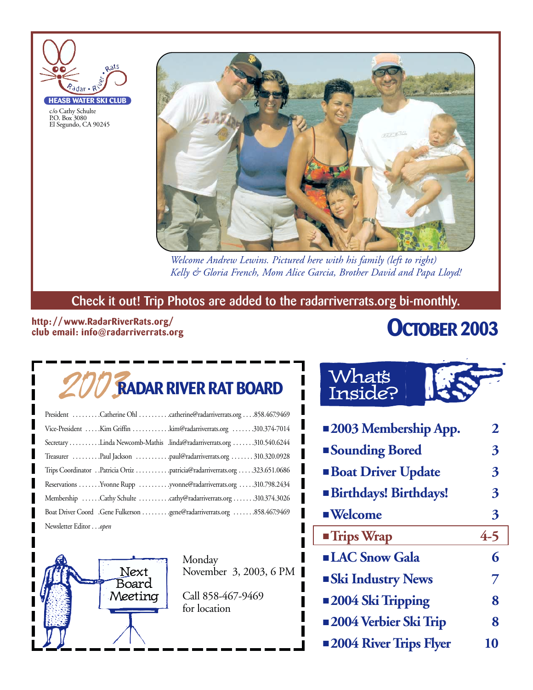

c/o Cathy Schulte P.O. Box 3080 El Segundo, CA 90245 **HEASB WATER SKI CLUB**



*Welcome Andrew Lewins. Pictured here with his family (left to right) Kelly & Gloria French, Mom Alice Garcia, Brother David and Papa Lloyd!*

### **Check it out! Trip Photos are added to the radarriverrats.org bi-monthly.**

### **http: //www.RadarRiverRats.org/ club email: info@radarriverrats.org**

### **OCTOBER 2003**

# 2003**RADAR RIVER RAT BOARD**

| President Catherine Ohl catherine@radarriverrats.org858.467.9469          |
|---------------------------------------------------------------------------|
| Vice-President Kim Griffin kim@radarriverrats.org 310.374-7014            |
| Secretary Linda Newcomb-Mathis .linda@radarriverrats.org 310.540.6244     |
| Treasurer Paul Jackson paul@radarriverrats.org  310.320.0928              |
| Trips Coordinator Patricia Ortiz patricia@radarriverrats.org 323.651.0686 |
| Reservations Yvonne Rupp yvonne@radarriverrats.org 310.798.2434           |
| Membership Cathy Schulte cathy@radarriverrats.org 310.374.3026            |
| Boat Driver Coord .Gene Fulkerson gene@radarriverrats.org 858.467.9469    |
| Newsletter Editoropen                                                     |



Monday November 3, 2003, 6 PM

Call 858-467-9469 for location

### What's Inside?

| <b>2003 Membership App.</b>   | 2       |
|-------------------------------|---------|
| <b>Sounding Bored</b>         | 3       |
| <b>Boat Driver Update</b>     | 3       |
| <b>Birthdays! Birthdays!</b>  | 3       |
| <b>Welcome</b>                | 3       |
| <b>Trips Wrap</b>             | $4 - 5$ |
| <b>LAC Snow Gala</b>          | 6       |
| <b>Ski Industry News</b>      | 7       |
| <b>2004 Ski Tripping</b>      | 8       |
| <b>2004 Verbier Ski Trip</b>  | 8       |
| <b>2004 River Trips Flyer</b> | 10      |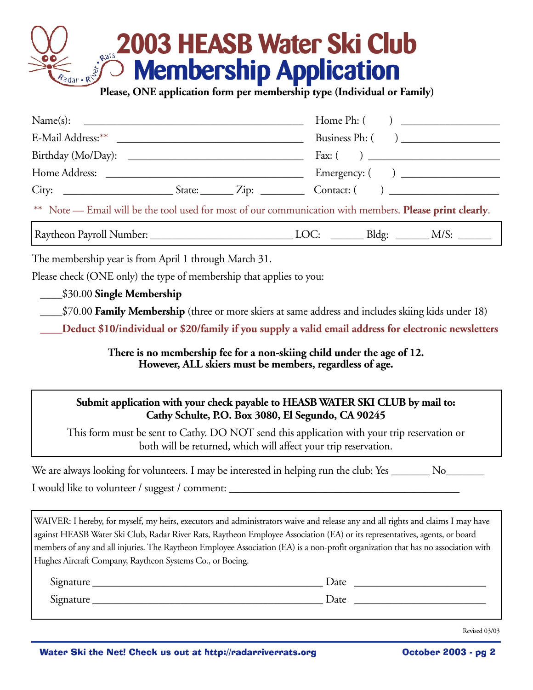# **2003 HEASB Water Ski Club**<br> **Expansion Membership Application Membership Application**

**Please, ONE application form per membership type (Individual or Family)**

| ** Note — Email will be the tool used for most of our communication with members. Please print clearly.                      |  |
|------------------------------------------------------------------------------------------------------------------------------|--|
|                                                                                                                              |  |
| The membership year is from April 1 through March 31.<br>Please check (ONE only) the type of membership that applies to you: |  |

\_\_\_\_\$30.00 **Single Membership**

\_\_\_\_\$70.00 **Family Membership** (three or more skiers at same address and includes skiing kids under 18)

**\_\_\_\_Deduct \$10/individual or \$20/family if you supply a valid email address for electronic newsletters**

**There is no membership fee for a non-skiing child under the age of 12. However, ALL skiers must be members, regardless of age.**

### **Submit application with your check payable to HEASB WATER SKI CLUB by mail to: Cathy Schulte, P.O. Box 3080, El Segundo, CA 90245**

This form must be sent to Cathy. DO NOT send this application with your trip reservation or both will be returned, which will affect your trip reservation.

| We are always looking for volunteers. I may be interested in helping run the club: Yes _ |  |
|------------------------------------------------------------------------------------------|--|
| I would like to volunteer / suggest / comment:                                           |  |

WAIVER: I hereby, for myself, my heirs, executors and administrators waive and release any and all rights and claims I may have against HEASB Water Ski Club, Radar River Rats, Raytheon Employee Association (EA) or its representatives, agents, or board members of any and all injuries. The Raytheon Employee Association (EA) is a non-profit organization that has no association with Hughes Aircraft Company, Raytheon Systems Co., or Boeing.

| $\sim$<br>Signature | Date |
|---------------------|------|
| $\sim$<br>Signature | Date |

Revised 03/03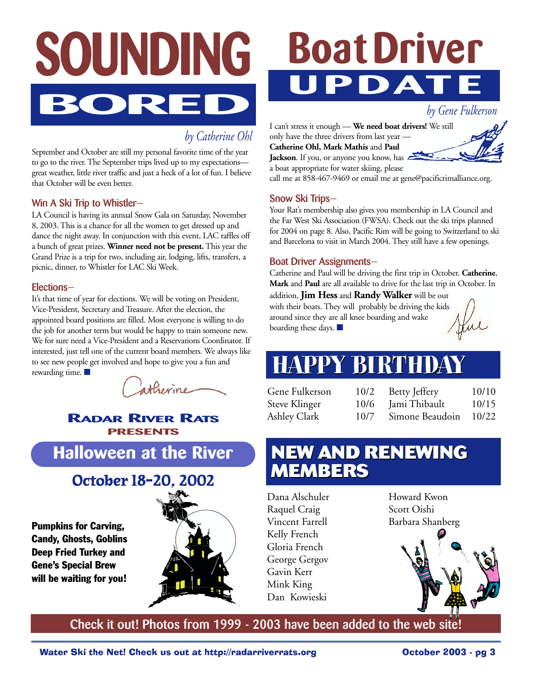

*by Catherine Ohl*

September and October are still my personal favorite time of the year to go to the river. The September trips lived up to my expectations great weather, little river traffic and just a heck of a lot of fun. I believe that October will be even better.

### **Win A Ski Trip to Whistler—**

LA Council is having its annual Snow Gala on Saturday, November 8, 2003. This is a chance for all the women to get dressed up and dance the night away. In conjunction with this event, LAC raffles off a bunch of great prizes. **Winner need not be present.** This year the Grand Prize is a trip for two, including air, lodging, lifts, transfers, a picnic, dinner, to Whistler for LAC Ski Week.

### **Elections—**

It's that time of year for elections. We will be voting on President, Vice-President, Secretary and Treasure. After the election, the appointed board positions are filled. Most everyone is willing to do the job for another term but would be happy to train someone new. We for sure need a Vice-President and a Reservations Coordinator. If interested, just tell one of the current board members. We always like to see new people get involved and hope to give you a fun and rewarding time. ■

atherine

### **RADAR RIVER RATS PRESENTS**

### **Halloween at the River**

### **October 18-20, 2002**

Pumpkins for Carving, Candy, Ghosts, Goblins Deep Fried Turkey and Gene's Special Brew will be waiting for you!



# **Boat Driver UPDATE**

*by Gene Fulkerson*

I can't stress it enough — **We need boat drivers!** We still only have the three drivers from last year — **Catherine Ohl, Mark Mathis** and **Paul Jackson**. If you, or anyone you know, has

a boat appropriate for water skiing, please call me at 858-467-9469 or email me at gene@pacificrimalliance.org.

### **Snow Ski Trips—**

Your Rat's membership also gives you membership in LA Council and the Far West Ski Association (FWSA). Check out the ski trips planned for 2004 on page 8. Also, Pacific Rim will be going to Switzerland to ski and Barcelona to visit in March 2004. They still have a few openings.

#### **Boat Driver Assignments—**

Catherine and Paul will be driving the first trip in October. **Catherine**, **Mark** and **Paul** are all available to drive for the last trip in October. In

addition, **Jim Hess** and **Randy Walker** will be out with their boats. They will probably be driving the kids around since they are all knee boarding and wake boarding these days. ■

Jul

## **HAPPY BIRTHDAY HAPPY BIRTHDAY**

Gene Fulkerson 10/2 Steve Klinger 10/6 Ashley Clark 10/7

Betty Jeffery 10/10 Jami Thibault 10/15 Simone Beaudoin 10/22

### **NEW AND RENEWING NEW AND RENEWING MEMBERS MEMBERS**

Dana Alschuler Raquel Craig Vincent Farrell Kelly French Gloria French George Gergov Gavin Kerr Mink King Dan Kowieski

Howard Kwon Scott Oishi Barbara Shanberg



**Check it out! Photos from 1999 - 2003 have been added to the web site!**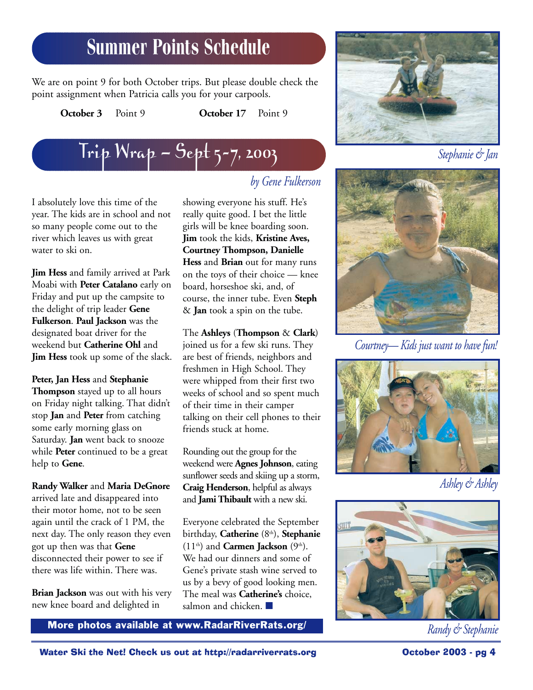### **Summer Points Schedule**

We are on point 9 for both October trips. But please double check the point assignment when Patricia calls you for your carpools.

**October 3** Point 9 **October 17** Point 9



I absolutely love this time of the year. The kids are in school and not so many people come out to the river which leaves us with great water to ski on.

**Jim Hess** and family arrived at Park Moabi with **Peter Catalano** early on Friday and put up the campsite to the delight of trip leader **Gene Fulkerson**. **Paul Jackson** was the designated boat driver for the weekend but **Catherine Ohl** and **Jim Hess** took up some of the slack.

**Peter, Jan Hess** and **Stephanie Thompson** stayed up to all hours on Friday night talking. That didn't stop **Jan** and **Peter** from catching some early morning glass on Saturday. **Jan** went back to snooze while **Peter** continued to be a great help to **Gene**.

**Randy Walker** and **Maria DeGnore** arrived late and disappeared into their motor home, not to be seen again until the crack of 1 PM, the next day. The only reason they even got up then was that **Gene** disconnected their power to see if there was life within. There was.

**Brian Jackson** was out with his very new knee board and delighted in

### *by Gene Fulkerson*

showing everyone his stuff. He's really quite good. I bet the little girls will be knee boarding soon. **Jim** took the kids, **Kristine Aves, Courtney Thompson, Danielle Hess** and **Brian** out for many runs on the toys of their choice — knee board, horseshoe ski, and, of course, the inner tube. Even **Steph** & **Jan** took a spin on the tube.

The **Ashleys** (**Thompson** & **Clark**) joined us for a few ski runs. They are best of friends, neighbors and freshmen in High School. They were whipped from their first two weeks of school and so spent much of their time in their camper talking on their cell phones to their friends stuck at home.

Rounding out the group for the weekend were **Agnes Johnson**, eating sunflower seeds and skiing up a storm, **Craig Henderson**, helpful as always and **Jami Thibault** with a new ski.

Everyone celebrated the September birthday, **Catherine** (8<sup>th</sup>), **Stephanie**  $(11<sup>th</sup>)$  and **Carmen Jackson**  $(9<sup>th</sup>)$ . We had our dinners and some of Gene's private stash wine served to us by a bevy of good looking men. The meal was **Catherine's** choice, salmon and chicken. ■

**More photos available at www.RadarRiverRats.org/** The model of *Randy & Stephanie* 





*Courtney— Kids just want to have fun!*



*Ashley & Ashley*

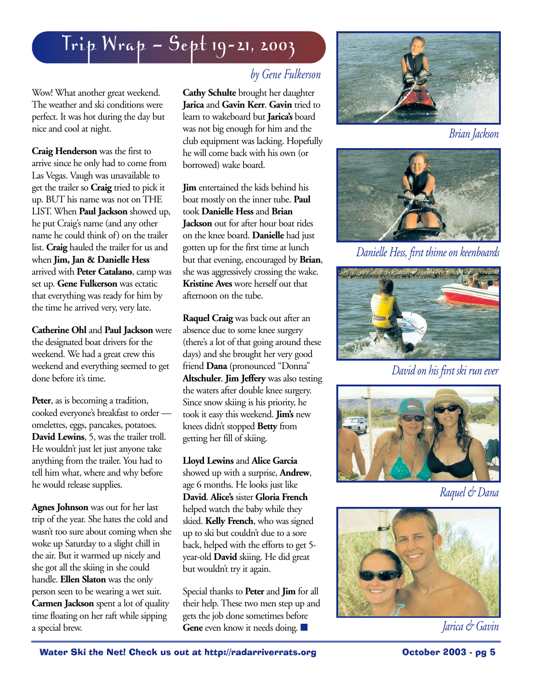## Trip Wrap — Sept 19-21, 2003

Wow! What another great weekend. The weather and ski conditions were perfect. It was hot during the day but nice and cool at night.

**Craig Henderson** was the first to arrive since he only had to come from Las Vegas. Vaugh was unavailable to get the trailer so **Craig** tried to pick it up. BUT his name was not on THE LIST. When **Paul Jackson** showed up, he put Craig's name (and any other name he could think of) on the trailer list. **Craig** hauled the trailer for us and when **Jim, Jan & Danielle Hess** arrived with **Peter Catalano**, camp was set up. **Gene Fulkerson** was ectatic that everything was ready for him by the time he arrived very, very late.

**Catherine Ohl** and **Paul Jackson** were the designated boat drivers for the weekend. We had a great crew this weekend and everything seemed to get done before it's time.

Peter, as is becoming a tradition, cooked everyone's breakfast to order omelettes, eggs, pancakes, potatoes. **David Lewins**, 5, was the trailer troll. He wouldn't just let just anyone take anything from the trailer. You had to tell him what, where and why before he would release supplies.

**Agnes Johnson** was out for her last trip of the year. She hates the cold and wasn't too sure about coming when she woke up Saturday to a slight chill in the air. But it warmed up nicely and she got all the skiing in she could handle. **Ellen Slaton** was the only person seen to be wearing a wet suit. **Carmen Jackson** spent a lot of quality time floating on her raft while sipping a special brew.

### *by Gene Fulkerson*

**Cathy Schulte** brought her daughter **Jarica** and **Gavin Kerr**. **Gavin** tried to learn to wakeboard but **Jarica's** board was not big enough for him and the club equipment was lacking. Hopefully he will come back with his own (or borrowed) wake board.

**Jim** entertained the kids behind his boat mostly on the inner tube. **Paul** took **Danielle Hess** and **Brian Jackson** out for after hour boat rides on the knee board. **Danielle** had just gotten up for the first time at lunch but that evening, encouraged by **Brian**, she was aggressively crossing the wake. **Kristine Aves** wore herself out that afternoon on the tube.

**Raquel Craig** was back out after an absence due to some knee surgery (there's a lot of that going around these days) and she brought her very good friend **Dana** (pronounced "Donna" **Altschuler**. **Jim Jeffery** was also testing the waters after double knee surgery. Since snow skiing is his priority, he took it easy this weekend. **Jim's** new knees didn't stopped **Betty** from getting her fill of skiing.

**Lloyd Lewins** and **Alice Garcia** showed up with a surprise, **Andrew**, age 6 months. He looks just like **David**. **Alice's** sister **Gloria French** helped watch the baby while they skied. **Kelly French**, who was signed up to ski but couldn't due to a sore back, helped with the efforts to get 5 year-old **David** skiing. He did great but wouldn't try it again.

Special thanks to **Peter** and **Jim** for all their help. These two men step up and gets the job done sometimes before **Gene** even know it needs doing. ■



*Brian Jackson*



*Danielle Hess, first thime on keenboards*



*David on his first ski run ever*



*Raquel & Dana*



*Jarica & Gavin*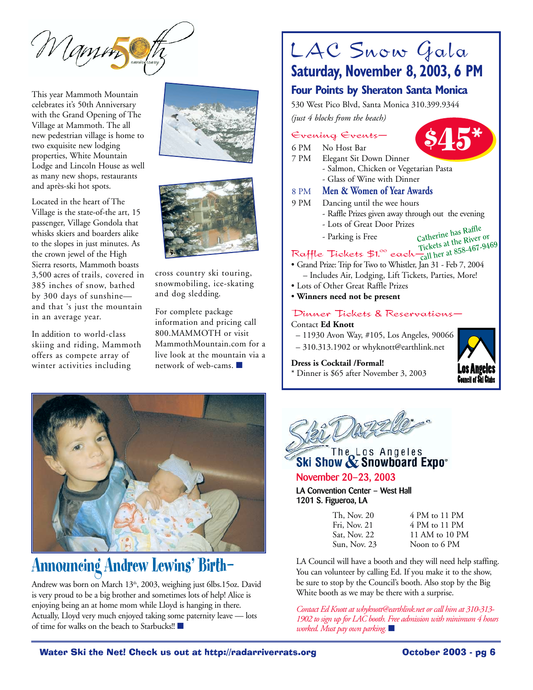Mamin

This year Mammoth Mountain celebrates it's 50th Anniversary with the Grand Opening of The Village at Mammoth. The all new pedestrian village is home to two exquisite new lodging properties, White Mountain Lodge and Lincoln House as well as many new shops, restaurants and après-ski hot spots.



In addition to world-class skiing and riding, Mammoth offers as compete array of winter activities including





cross country ski touring, snowmobiling, ice-skating and dog sledding.

For complete package information and pricing call 800.MAMMOTH or visit MammothMountain.com for a live look at the mountain via a network of web-cams. ■



### **Announcing Andrew Lewins' Birth—**

Andrew was born on March 13<sup>th</sup>, 2003, weighing just 6lbs.15oz. David is very proud to be a big brother and sometimes lots of help! Alice is enjoying being an at home mom while Lloyd is hanging in there. Actually, Lloyd very much enjoyed taking some paternity leave — lots of time for walks on the beach to Starbucks!! ■

### LAC Snow Gala **Saturday, November 8, 2003, 6 PM**

### **Four Points by Sheraton Santa Monica**

530 West Pico Blvd, Santa Monica 310.399.9344 *(just 4 blocks from the beach)*

### Evening Events—

- 6 PM No Host Bar<br>7 PM Elegant Sit D
- Elegant Sit Down Dinner
- Salmon, Chicken or Vegetarian Pasta **\$45\***
	- Glass of Wine with Dinner

### 8 PM **Men & Women of Year Awards**

- 9 PM Dancing until the wee hours
	- Raffle Prizes given away through out the evening
	- Lots of Great Door Prizes
	- Parking is Free
- **Catherine has Raffle Tickets at the River or call her at 858-467-9469**

### Raffle Tickets  $$1.^\infty$  each $-\frac{11}{\rm c}$

- Grand Prize: Trip for Two to Whistler, Jan 31 Feb 7, 2004 – Includes Air, Lodging, Lift Tickets, Parties, More!
- Lots of Other Great Raffle Prizes
- **Winners need not be present**

#### Dinner Tickets & Reservations—

#### Contact **Ed Knott**

- 11930 Avon Way, #105, Los Angeles, 90066
- 310.313.1902 or whyknott@earthlink.net

#### **Dress is Cocktail /Formal!**

\* Dinner is \$65 after November 3, 2003





# Ski Show & Snowboard Expo\*

### **November 20–23, 2003**

**LA Convention Center – West Hall 1201 S. Figueroa, LA**

| Th, Nov. 20  | 4 PM to 11 PM  |
|--------------|----------------|
| Fri, Nov. 21 | 4 PM to 11 PM  |
| Sat, Nov. 22 | 11 AM to 10 PM |
| Sun, Nov. 23 | Noon to 6 PM   |

LA Council will have a booth and they will need help staffing. You can volunteer by calling Ed. If you make it to the show, be sure to stop by the Council's booth. Also stop by the Big White booth as we may be there with a surprise.

*Contact Ed Knott at whyknott@earthlink.net or call him at 310-313- 1902 to sign up for LAC booth. Free admission with minimum 4 hours worked. Must pay own parking.* ■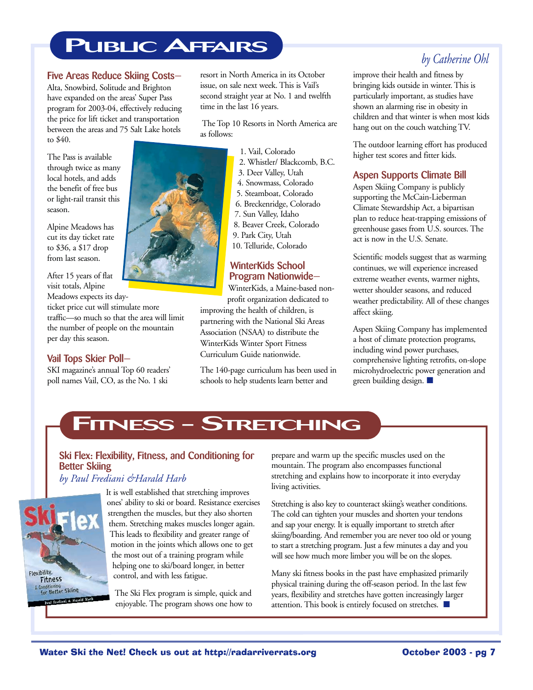### **PUBLIC AFFAIRS**

#### **Five Areas Reduce Skiing Costs—**

Alta, Snowbird, Solitude and Brighton have expanded on the areas' Super Pass program for 2003-04, effectively reducing the price for lift ticket and transportation between the areas and 75 Salt Lake hotels to \$40.

The Pass is available through twice as many local hotels, and adds the benefit of free bus or light-rail transit this season.

Alpine Meadows has cut its day ticket rate to \$36, a \$17 drop from last season.

After 15 years of flat visit totals, Alpine

Meadows expects its dayticket price cut will stimulate more traffic—so much so that the area will limit the number of people on the mountain per day this season.

### **Vail Tops Skier Poll—**

SKI magazine's annual Top 60 readers' poll names Vail, CO, as the No. 1 ski

resort in North America in its October issue, on sale next week. This is Vail's second straight year at No. 1 and twelfth time in the last 16 years.

The Top 10 Resorts in North America are

- 1. Vail, Colorado
- 2. Whistler/ Blackcomb, B.C. 3. Deer Valley, Utah
- 4. Snowmass, Colorado
- 5. Steamboat, Colorado
- 6. Breckenridge, Colorado
- 7. Sun Valley, Idaho
- 8. Beaver Creek, Colorado
- 9. Park City, Utah
- 10. Telluride, Colorado

### **WinterKids School Program Nationwide—**

WinterKids, a Maine-based nonprofit organization dedicated to

improving the health of children, is partnering with the National Ski Areas Association (NSAA) to distribute the WinterKids Winter Sport Fitness Curriculum Guide nationwide.

The 140-page curriculum has been used in schools to help students learn better and

### *by Catherine Ohl*

improve their health and fitness by bringing kids outside in winter. This is particularly important, as studies have shown an alarming rise in obesity in children and that winter is when most kids hang out on the couch watching TV.

The outdoor learning effort has produced higher test scores and fitter kids.

### **Aspen Supports Climate Bill**

Aspen Skiing Company is publicly supporting the McCain-Lieberman Climate Stewardship Act, a bipartisan plan to reduce heat-trapping emissions of greenhouse gases from U.S. sources. The act is now in the U.S. Senate.

Scientific models suggest that as warming continues, we will experience increased extreme weather events, warmer nights, wetter shoulder seasons, and reduced weather predictability. All of these changes affect skiing.

Aspen Skiing Company has implemented a host of climate protection programs, including wind power purchases, comprehensive lighting retrofits, on-slope microhydroelectric power generation and green building design. ■

### **FITNESS - STRETCHING**

### **Ski Flex: Flexibility, Fitness, and Conditioning for Better Skiing**

### *by Paul Frediani &Harald Harb*



It is well established that stretching improves ones' ability to ski or board. Resistance exercises strengthen the muscles, but they also shorten them. Stretching makes muscles longer again. This leads to flexibility and greater range of motion in the joints which allows one to get the most out of a training program while helping one to ski/board longer, in better control, and with less fatigue.

The Ski Flex program is simple, quick and enjoyable. The program shows one how to prepare and warm up the specific muscles used on the mountain. The program also encompasses functional stretching and explains how to incorporate it into everyday living activities.

Stretching is also key to counteract skiing's weather conditions. The cold can tighten your muscles and shorten your tendons and sap your energy. It is equally important to stretch after skiing/boarding. And remember you are never too old or young to start a stretching program. Just a few minutes a day and you will see how much more limber you will be on the slopes.

Many ski fitness books in the past have emphasized primarily physical training during the off-season period. In the last few years, flexibility and stretches have gotten increasingly larger attention. This book is entirely focused on stretches. ■

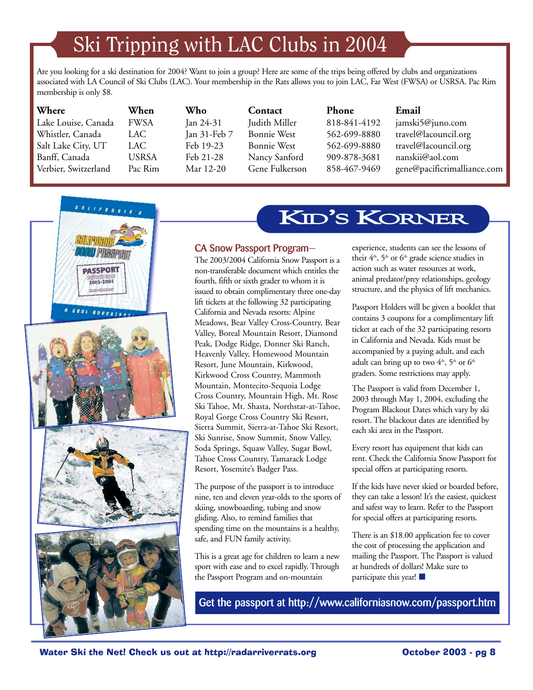# Ski Tripping with LAC Clubs in 2004

Are you looking for a ski destination for 2004? Want to join a group? Here are some of the trips being offered by clubs and organizations associated with LA Council of Ski Clubs (LAC). Your membership in the Rats allows you to join LAC, Far West (FWSA) or USRSA. Pac Rim membership is only \$8.

| Where                | When         | Who          | Contact        | <b>Phone</b> | Email                       |
|----------------------|--------------|--------------|----------------|--------------|-----------------------------|
| Lake Louise, Canada  | <b>FWSA</b>  | Jan 24-31    | Judith Miller  | 818-841-4192 | jamski5@juno.com            |
| Whistler, Canada     | LAC          | Jan 31-Feb 7 | Bonnie West    | 562-699-8880 | travel@lacouncil.org        |
| Salt Lake City, UT   | LAC.         | Feb 19-23    | Bonnie West    | 562-699-8880 | travel@lacouncil.org        |
| Banff, Canada        | <b>USRSA</b> | Feb 21-28    | Nancy Sanford  | 909-878-3681 | nanskii@aol.com             |
| Verbier, Switzerland | Pac Rim      | Mar 12-20    | Gene Fulkerson | 858-467-9469 | gene@pacificrimalliance.com |
|                      |              |              |                |              |                             |



### KID'S KORNER

### **CA Snow Passport Program—**

The 2003/2004 California Snow Passport is a non-transferable document which entitles the fourth, fifth or sixth grader to whom it is issued to obtain complimentary three one-day lift tickets at the following 32 participating California and Nevada resorts: Alpine Meadows, Bear Valley Cross-Country, Bear Valley, Boreal Mountain Resort, Diamond Peak, Dodge Ridge, Donner Ski Ranch, Heavenly Valley, Homewood Mountain Resort, June Mountain, Kirkwood, Kirkwood Cross Country, Mammoth Mountain, Montecito-Sequoia Lodge Cross Country, Mountain High, Mt. Rose Ski Tahoe, Mt. Shasta, Northstar-at-Tahoe, Royal Gorge Cross Country Ski Resort, Sierra Summit, Sierra-at-Tahoe Ski Resort, Ski Sunrise, Snow Summit, Snow Valley, Soda Springs, Squaw Valley, Sugar Bowl, Tahoe Cross Country, Tamarack Lodge Resort, Yosemite's Badger Pass.

The purpose of the passport is to introduce nine, ten and eleven year-olds to the sports of skiing, snowboarding, tubing and snow gliding. Also, to remind families that spending time on the mountains is a healthy, safe, and FUN family activity.

This is a great age for children to learn a new sport with ease and to excel rapidly. Through the Passport Program and on-mountain

experience, students can see the lessons of their  $4<sup>th</sup>$ ,  $5<sup>th</sup>$  or  $6<sup>th</sup>$  grade science studies in action such as water resources at work, animal predator/prey relationships, geology structure, and the physics of lift mechanics.

Passport Holders will be given a booklet that contains 3 coupons for a complimentary lift ticket at each of the 32 participating resorts in California and Nevada. Kids must be accompanied by a paying adult, and each adult can bring up to two  $4<sup>th</sup>$ ,  $5<sup>th</sup>$  or  $6<sup>th</sup>$ graders. Some restrictions may apply.

The Passport is valid from December 1, 2003 through May 1, 2004, excluding the Program Blackout Dates which vary by ski resort. The blackout dates are identified by each ski area in the Passport.

Every resort has equipment that kids can rent. Check the California Snow Passport for special offers at participating resorts.

If the kids have never skied or boarded before, they can take a lesson! It's the easiest, quickest and safest way to learn. Refer to the Passport for special offers at participating resorts.

There is an \$18.00 application fee to cover the cost of processing the application and mailing the Passport. The Passport is valued at hundreds of dollars! Make sure to participate this year! ■

**Get the passport at http://www.californiasnow.com/passport.htm**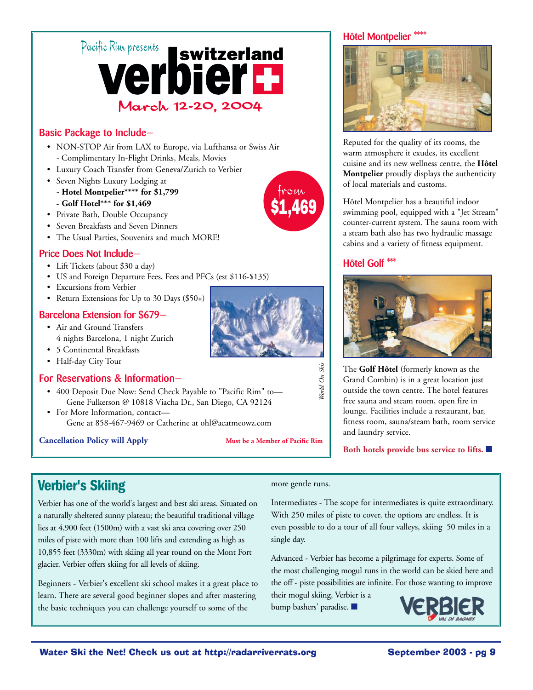

### **Basic Package to Include—**

- NON-STOP Air from LAX to Europe, via Lufthansa or Swiss Air - Complimentary In-Flight Drinks, Meals, Movies
- Luxury Coach Transfer from Geneva/Zurich to Verbier
- Seven Nights Luxury Lodging at
	- **Hotel Montpelier\*\*\*\* for \$1,799 - Golf Hotel\*\*\* for \$1,469**
- Private Bath, Double Occupancy
- Seven Breakfasts and Seven Dinners
- The Usual Parties, Souvenirs and much MORE!

### **Price Does Not Include—**

- Lift Tickets (about \$30 a day)
- US and Foreign Departure Fees, Fees and PFCs (est \$116-\$135)
- Excursions from Verbier
- Return Extensions for Up to 30 Days (\$50+)

### **Barcelona Extension for \$679—**

- Air and Ground Transfers 4 nights Barcelona, 1 night Zurich
- 5 Continental Breakfasts
- Half-day City Tour

### **For Reservations & Information—**

- 400 Deposit Due Now: Send Check Payable to "Pacific Rim" to— Gene Fulkerson @ 10818 Viacha Dr., San Diego, CA 92124
- For More Information, contact— Gene at 858-467-9469 or Catherine at ohl@acatmeowz.com

#### **Cancellation Policy will Apply Must be a Member of Pacific Rim**



from \$1,469

#### **Hôtel Montpelier \*\*\*\***



Reputed for the quality of its rooms, the warm atmosphere it exudes, its excellent cuisine and its new wellness centre, the **Hôtel Montpelier** proudly displays the authenticity of local materials and customs.

Hôtel Montpelier has a beautiful indoor swimming pool, equipped with a "Jet Stream" counter-current system. The sauna room with a steam bath also has two hydraulic massage cabins and a variety of fitness equipment.

### **Hôtel Golf \*\*\***



The **Golf Hôtel** (formerly known as the Grand Combin) is in a great location just outside the town centre. The hotel features free sauna and steam room, open fire in lounge. Facilities include a restaurant, bar, fitness room, sauna/steam bath, room service and laundry service.

**Both hotels provide bus service to lifts.** ■

### **Verbier's Skiing**

Verbier has one of the world's largest and best ski areas. Situated on a naturally sheltered sunny plateau; the beautiful traditional village lies at 4,900 feet (1500m) with a vast ski area covering over 250 miles of piste with more than 100 lifts and extending as high as 10,855 feet (3330m) with skiing all year round on the Mont Fort glacier. Verbier offers skiing for all levels of skiing.

Beginners - Verbier's excellent ski school makes it a great place to learn. There are several good beginner slopes and after mastering the basic techniques you can challenge yourself to some of the

#### more gentle runs.

*World On Skis*

Torld On Skis

Intermediates - The scope for intermediates is quite extraordinary. With 250 miles of piste to cover, the options are endless. It is even possible to do a tour of all four valleys, skiing 50 miles in a single day.

Advanced - Verbier has become a pilgrimage for experts. Some of the most challenging mogul runs in the world can be skied here and the off - piste possibilities are infinite. For those wanting to improve

their mogul skiing, Verbier is a bump bashers' paradise. ■